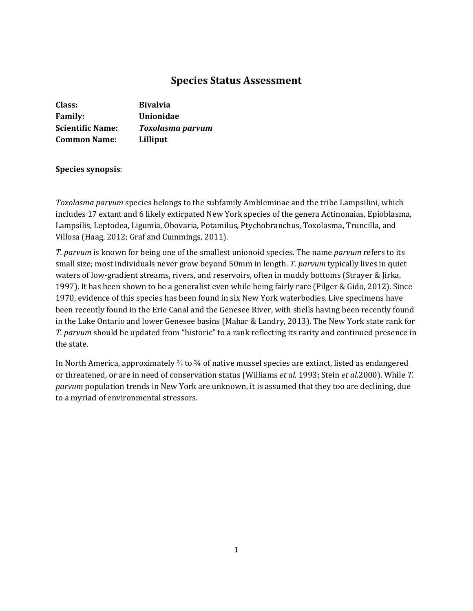# **Species Status Assessment**

| Class:                  | <b>Bivalvia</b>         |
|-------------------------|-------------------------|
| <b>Family:</b>          | <b>Unionidae</b>        |
| <b>Scientific Name:</b> | <b>Toxolasma parvum</b> |
| <b>Common Name:</b>     | Lilliput                |

### **Species synopsis**:

*Toxolasma parvum* species belongs to the subfamily Ambleminae and the tribe Lampsilini, which includes 17 extant and 6 likely extirpated New York species of the genera Actinonaias, Epioblasma, Lampsilis, Leptodea, Ligumia, Obovaria, Potamilus, Ptychobranchus, Toxolasma, Truncilla, and Villosa (Haag, 2012; Graf and Cummings, 2011).

*T. parvum* is known for being one of the smallest unionoid species. The name *parvum* refers to its small size; most individuals never grow beyond 50mm in length. *T. parvum* typically lives in quiet waters of low-gradient streams, rivers, and reservoirs, often in muddy bottoms (Strayer & Jirka, 1997). It has been shown to be a generalist even while being fairly rare (Pilger & Gido, 2012). Since 1970, evidence of this species has been found in six New York waterbodies. Live specimens have been recently found in the Erie Canal and the Genesee River, with shells having been recently found in the Lake Ontario and lower Genesee basins (Mahar & Landry, 2013). The New York state rank for *T. parvum* should be updated from "historic" to a rank reflecting its rarity and continued presence in the state.

In North America, approximately ⅔ to ¾ of native mussel species are extinct, listed as endangered or threatened, or are in need of conservation status (Williams *et al.* 1993; Stein *et al.*2000). While *T. parvum* population trends in New York are unknown, it is assumed that they too are declining, due to a myriad of environmental stressors.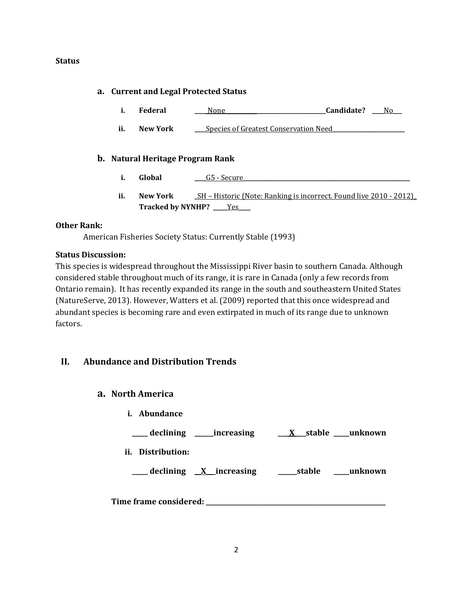### **Status**

## **a. Current and Legal Protected Status**

- **i. Federal \_\_\_\_** None**\_\_\_\_\_\_\_\_\_\_\_\_\_\_\_\_\_\_\_\_\_\_\_\_\_\_\_\_\_\_\_\_\_\_\_Candidate? \_\_\_\_**No**\_\_\_**
- **ii. New York \_\_\_** Species of Greatest Conservation Need

## **b. Natural Heritage Program Rank**

- **i. Global**  $\qquad \qquad \underline{\hspace{1cm}}$  **G5** Secure
- **ii. New York SH** Historic (Note: Ranking is incorrect. Found live 2010 2012) **Tracked by NYNHP? \_\_\_\_\_**Yes**\_\_\_\_**

### **Other Rank:**

American Fisheries Society Status: Currently Stable (1993)

## **Status Discussion:**

This species is widespread throughout the Mississippi River basin to southern Canada. Although considered stable throughout much of its range, it is rare in Canada (only a few records from Ontario remain). It has recently expanded its range in the south and southeastern United States (NatureServe, 2013). However, Watters et al. (2009) reported that this once widespread and abundant species is becoming rare and even extirpated in much of its range due to unknown factors.

# **II. Abundance and Distribution Trends**

## **a. North America**

**i. Abundance**

**\_\_\_\_\_ declining \_\_\_\_\_\_increasing \_\_\_ X \_\_\_stable \_\_\_\_\_unknown ii. Distribution: \_\_\_\_\_ declining \_\_X\_\_\_increasing \_\_\_\_\_\_stable \_\_\_\_\_unknown Time frame considered: \_\_\_\_\_\_\_\_\_\_\_\_\_\_\_\_\_\_\_\_\_\_\_\_\_\_\_\_\_\_\_\_\_\_\_\_\_\_\_\_\_\_\_\_\_\_\_\_\_\_\_\_\_\_\_\_\_**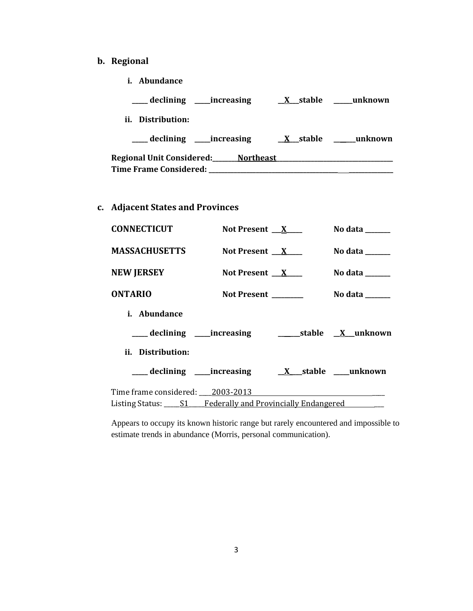- **b. Regional** 
	- **i. Abundance**

| declining<br>increasing                          | X stable               | unknown |
|--------------------------------------------------|------------------------|---------|
| Distribution:<br>Ħ.                              |                        |         |
|                                                  | stable<br>$\mathbf{X}$ | unknown |
| Regional Unit Considered:___<br><b>Northeast</b> |                        |         |
| <b>Time Frame Considered:</b>                    |                        |         |

**c. Adjacent States and Provinces**

| <b>CONNECTICUT</b>                                                | Not Present $X$      | No data $\_\_\_\_\_\_\_\_\_\_\$ |
|-------------------------------------------------------------------|----------------------|---------------------------------|
| <b>MASSACHUSETTS</b>                                              | Not Present $X$      | No data $\_\_$                  |
| <b>NEW JERSEY</b>                                                 | Not Present $X$      | No data $\_\_$                  |
| <b>ONTARIO</b>                                                    | Not Present ________ | No data $\_\_\_\_\_\_\_\_\_\_\$ |
| <i>i.</i> Abundance                                               |                      |                                 |
|                                                                   |                      |                                 |
| ii. Distribution:                                                 |                      |                                 |
|                                                                   |                      |                                 |
| Time frame considered: 2003-2013                                  |                      |                                 |
| Listing Status: _____ S1____Federally and Provincially Endangered |                      |                                 |

Appears to occupy its known historic range but rarely encountered and impossible to estimate trends in abundance (Morris, personal communication).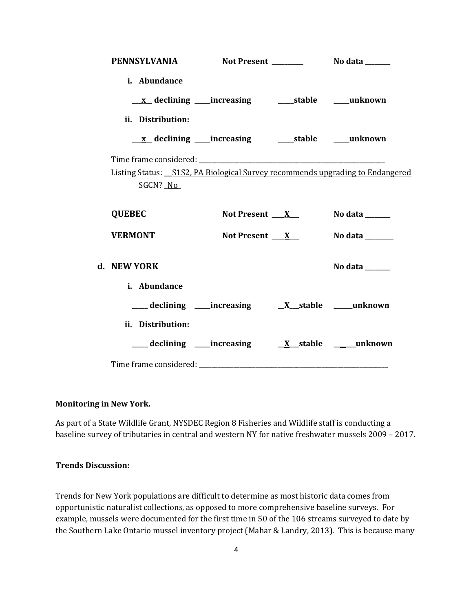| i. Abundance                                                                               |                          |                                     |
|--------------------------------------------------------------------------------------------|--------------------------|-------------------------------------|
|                                                                                            |                          |                                     |
| ii. Distribution:                                                                          |                          |                                     |
|                                                                                            |                          |                                     |
|                                                                                            |                          |                                     |
| Listing Status: _S1S2, PA Biological Survey recommends upgrading to Endangered<br>SGCN? No |                          |                                     |
| <b>QUEBEC</b>                                                                              | Not Present $\mathbf{X}$ | No data ______                      |
| <b>VERMONT</b>                                                                             | Not Present $X_{-}$      | <b>No data</b> _______              |
| d. NEW YORK                                                                                |                          | No data $\_\_\_\_\_\_\_\_\_\_\_\_\$ |
| i. Abundance                                                                               |                          |                                     |
|                                                                                            |                          |                                     |
| ii. Distribution:                                                                          |                          |                                     |
|                                                                                            |                          |                                     |
|                                                                                            |                          |                                     |

### **Monitoring in New York.**

As part of a State Wildlife Grant, NYSDEC Region 8 Fisheries and Wildlife staff is conducting a baseline survey of tributaries in central and western NY for native freshwater mussels 2009 – 2017.

### **Trends Discussion:**

Trends for New York populations are difficult to determine as most historic data comes from opportunistic naturalist collections, as opposed to more comprehensive baseline surveys. For example, mussels were documented for the first time in 50 of the 106 streams surveyed to date by the Southern Lake Ontario mussel inventory project (Mahar & Landry, 2013). This is because many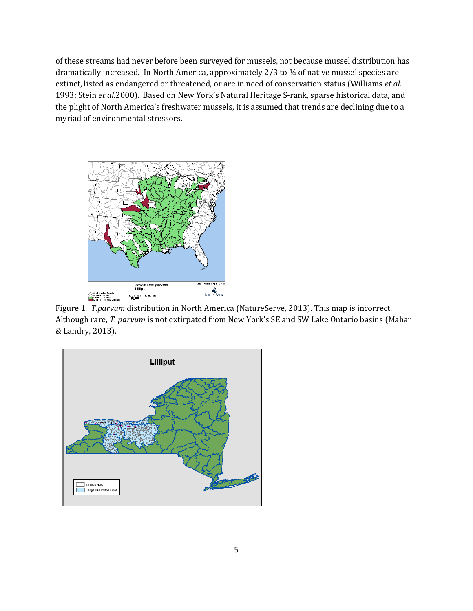of these streams had never before been surveyed for mussels, not because mussel distribution has dramatically increased. In North America, approximately 2/3 to ¾ of native mussel species are extinct, listed as endangered or threatened, or are in need of conservation status (Williams *et al.*  1993; Stein *et al.*2000). Based on New York's Natural Heritage S-rank, sparse historical data, and the plight of North America's freshwater mussels, it is assumed that trends are declining due to a myriad of environmental stressors.



Figure 1. *T.parvum* distribution in North America (NatureServe, 2013). This map is incorrect. Although rare, *T. parvum* is not extirpated from New York's SE and SW Lake Ontario basins (Mahar & Landry, 2013).

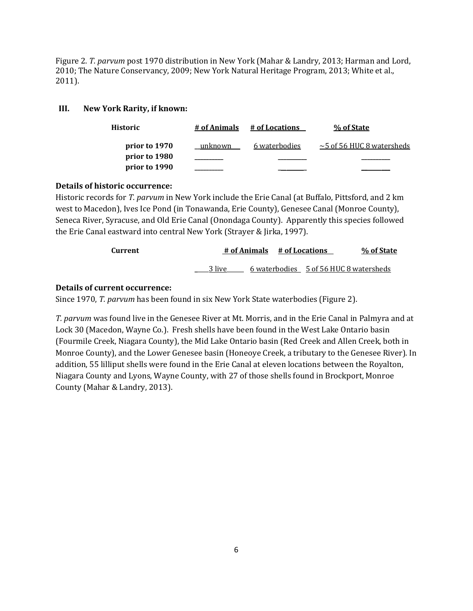Figure 2. *T. parvum* post 1970 distribution in New York (Mahar & Landry, 2013; Harman and Lord, 2010; The Nature Conservancy, 2009; New York Natural Heritage Program, 2013; White et al., 2011).

### **III. New York Rarity, if known:**

| <b>Historic</b> | # of Animals | # of Locations | % of State                      |
|-----------------|--------------|----------------|---------------------------------|
| prior to 1970   | unknown      | 6 waterbodies  | $\sim$ 5 of 56 HUC 8 watersheds |
| prior to 1980   |              |                |                                 |
| prior to 1990   |              |                |                                 |

### **Details of historic occurrence:**

Historic records for *T. parvum* in New York include the Erie Canal (at Buffalo, Pittsford, and 2 km west to Macedon), Ives Ice Pond (in Tonawanda, Erie County), Genesee Canal (Monroe County), Seneca River, Syracuse, and Old Erie Canal (Onondaga County). Apparently this species followed the Erie Canal eastward into central New York (Strayer & Jirka, 1997).

| Current |        | # of Animals # of Locations |  | % of State                             |
|---------|--------|-----------------------------|--|----------------------------------------|
|         | 3 live |                             |  | 6 waterbodies 5 of 56 HUC 8 watersheds |

### **Details of current occurrence:**

Since 1970, *T. parvum* has been found in six New York State waterbodies (Figure 2).

*T. parvum* was found live in the Genesee River at Mt. Morris, and in the Erie Canal in Palmyra and at Lock 30 (Macedon, Wayne Co.). Fresh shells have been found in the West Lake Ontario basin (Fourmile Creek, Niagara County), the Mid Lake Ontario basin (Red Creek and Allen Creek, both in Monroe County), and the Lower Genesee basin (Honeoye Creek, a tributary to the Genesee River). In addition, 55 lilliput shells were found in the Erie Canal at eleven locations between the Royalton, Niagara County and Lyons, Wayne County, with 27 of those shells found in Brockport, Monroe County (Mahar & Landry, 2013).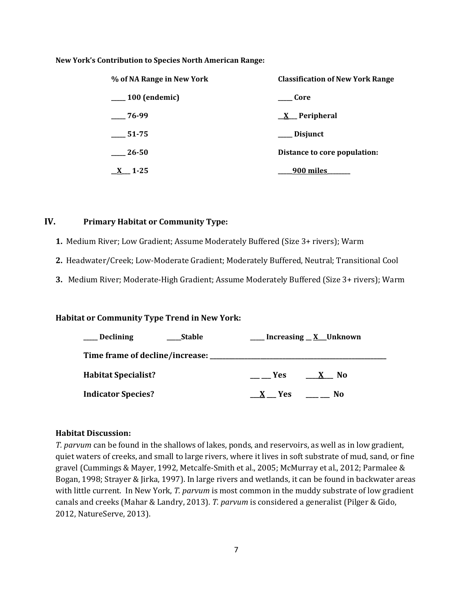#### **New York's Contribution to Species North American Range:**

| % of NA Range in New York | <b>Classification of New York Range</b> |
|---------------------------|-----------------------------------------|
| $\sim$ 100 (endemic)      | – Core                                  |
| $-76-99$                  | $X$ Peripheral                          |
| 51-75                     | <b>Disjunct</b>                         |
| 26-50                     | Distance to core population:            |
| $1-25$                    | 900 miles                               |

## **IV. Primary Habitat or Community Type:**

**1.** Medium River; Low Gradient; Assume Moderately Buffered (Size 3+ rivers); Warm

**2.** Headwater/Creek; Low-Moderate Gradient; Moderately Buffered, Neutral; Transitional Cool

**3.** Medium River; Moderate-High Gradient; Assume Moderately Buffered (Size 3+ rivers); Warm

### **Habitat or Community Type Trend in New York:**

| <b>Declining</b>           | <b>Stable</b> |            | Increasing $\underline{\mathbf{X}}$ Unknown |
|----------------------------|---------------|------------|---------------------------------------------|
|                            |               |            |                                             |
| <b>Habitat Specialist?</b> |               | <b>Yes</b> | No.<br>$\mathbf{X}$                         |
| <b>Indicator Species?</b>  |               | Yes.       | No                                          |

#### **Habitat Discussion:**

*T. parvum* can be found in the shallows of lakes, ponds, and reservoirs, as well as in low gradient, quiet waters of creeks, and small to large rivers, where it lives in soft substrate of mud, sand, or fine gravel (Cummings & Mayer, 1992, Metcalfe-Smith et al., 2005; McMurray et al., 2012; Parmalee & Bogan, 1998; Strayer & Jirka, 1997). In large rivers and wetlands, it can be found in backwater areas with little current. In New York, *T. parvum* is most common in the muddy substrate of low gradient canals and creeks (Mahar & Landry, 2013). *T. parvum* is considered a generalist (Pilger & Gido, 2012, NatureServe, 2013).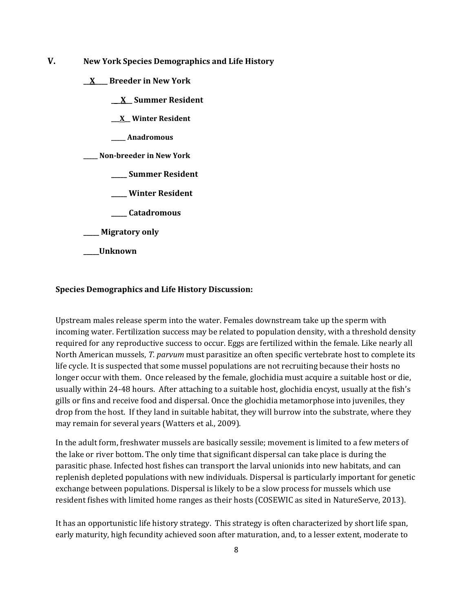- **V. New York Species Demographics and Life History**
	- **\_\_X\_\_\_\_ Breeder in New York**
		- **\_\_\_X\_\_ Summer Resident**
		- **\_\_\_X\_\_ Winter Resident**
		- **\_\_\_\_\_ Anadromous**
	- **\_\_\_\_\_ Non-breeder in New York**
		- **\_\_\_\_\_ Summer Resident**
		- **\_\_\_\_\_ Winter Resident**
		- **\_\_\_\_\_ Catadromous**
	- **\_\_\_\_\_ Migratory only**
	- **\_\_\_\_\_Unknown**

#### **Species Demographics and Life History Discussion:**

Upstream males release sperm into the water. Females downstream take up the sperm with incoming water. Fertilization success may be related to population density, with a threshold density required for any reproductive success to occur. Eggs are fertilized within the female. Like nearly all North American mussels, *T. parvum* must parasitize an often specific vertebrate host to complete its life cycle. It is suspected that some mussel populations are not recruiting because their hosts no longer occur with them. Once released by the female, glochidia must acquire a suitable host or die, usually within 24-48 hours. After attaching to a suitable host, glochidia encyst, usually at the fish's gills or fins and receive food and dispersal. Once the glochidia metamorphose into juveniles, they drop from the host. If they land in suitable habitat, they will burrow into the substrate, where they may remain for several years (Watters et al., 2009).

In the adult form, freshwater mussels are basically sessile; movement is limited to a few meters of the lake or river bottom. The only time that significant dispersal can take place is during the parasitic phase. Infected host fishes can transport the larval unionids into new habitats, and can replenish depleted populations with new individuals. Dispersal is particularly important for genetic exchange between populations. Dispersal is likely to be a slow process for mussels which use resident fishes with limited home ranges as their hosts (COSEWIC as sited in NatureServe, 2013).

It has an opportunistic life history strategy. This strategy is often characterized by short life span, early maturity, high fecundity achieved soon after maturation, and, to a lesser extent, moderate to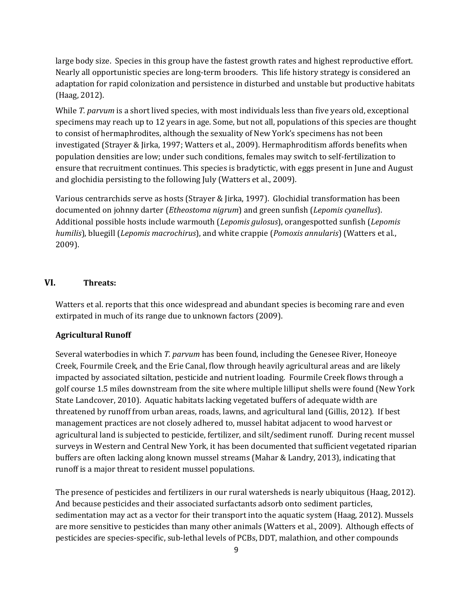large body size. Species in this group have the fastest growth rates and highest reproductive effort. Nearly all opportunistic species are long-term brooders. This life history strategy is considered an adaptation for rapid colonization and persistence in disturbed and unstable but productive habitats (Haag, 2012).

While *T. parvum* is a short lived species, with most individuals less than five years old, exceptional specimens may reach up to 12 years in age. Some, but not all, populations of this species are thought to consist of hermaphrodites, although the sexuality of New York's specimens has not been investigated (Strayer & Jirka, 1997; Watters et al., 2009). Hermaphroditism affords benefits when population densities are low; under such conditions, females may switch to self-fertilization to ensure that recruitment continues. This species is bradytictic, with eggs present in June and August and glochidia persisting to the following July (Watters et al., 2009).

Various centrarchids serve as hosts (Strayer & Jirka, 1997). Glochidial transformation has been documented on johnny darter (*Etheostoma nigrum*) and green sunfish (*Lepomis cyanellus*). Additional possible hosts include warmouth (*Lepomis gulosus*), orangespotted sunfish (*Lepomis humilis*), bluegill (*Lepomis macrochirus*), and white crappie (*Pomoxis annularis*) (Watters et al., 2009).

### **VI. Threats:**

Watters et al. reports that this once widespread and abundant species is becoming rare and even extirpated in much of its range due to unknown factors (2009).

### **Agricultural Runoff**

Several waterbodies in which *T. parvum* has been found, including the Genesee River, Honeoye Creek, Fourmile Creek, and the Erie Canal, flow through heavily agricultural areas and are likely impacted by associated siltation, pesticide and nutrient loading. Fourmile Creek flows through a golf course 1.5 miles downstream from the site where multiple lilliput shells were found (New York State Landcover, 2010). Aquatic habitats lacking vegetated buffers of adequate width are threatened by runoff from urban areas, roads, lawns, and agricultural land (Gillis, 2012). If best management practices are not closely adhered to, mussel habitat adjacent to wood harvest or agricultural land is subjected to pesticide, fertilizer, and silt/sediment runoff. During recent mussel surveys in Western and Central New York, it has been documented that sufficient vegetated riparian buffers are often lacking along known mussel streams (Mahar & Landry, 2013), indicating that runoff is a major threat to resident mussel populations.

The presence of pesticides and fertilizers in our rural watersheds is nearly ubiquitous (Haag, 2012). And because pesticides and their associated surfactants adsorb onto sediment particles, sedimentation may act as a vector for their transport into the aquatic system (Haag, 2012). Mussels are more sensitive to pesticides than many other animals (Watters et al., 2009). Although effects of pesticides are species-specific, sub-lethal levels of PCBs, DDT, malathion, and other compounds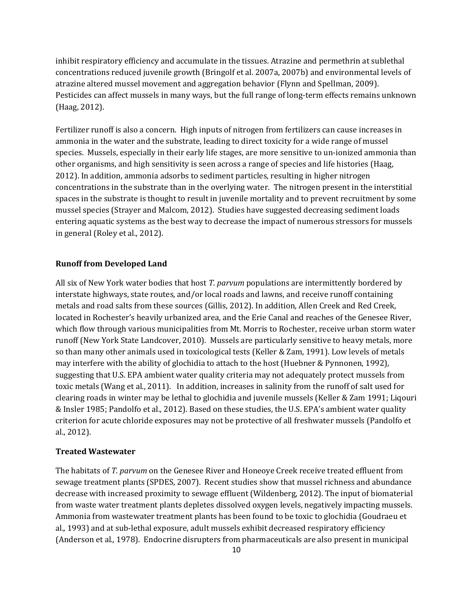inhibit respiratory efficiency and accumulate in the tissues. Atrazine and permethrin at sublethal concentrations reduced juvenile growth (Bringolf et al. 2007a, 2007b) and environmental levels of atrazine altered mussel movement and aggregation behavior (Flynn and Spellman, 2009). Pesticides can affect mussels in many ways, but the full range of long-term effects remains unknown (Haag, 2012).

Fertilizer runoff is also a concern. High inputs of nitrogen from fertilizers can cause increases in ammonia in the water and the substrate, leading to direct toxicity for a wide range of mussel species. Mussels, especially in their early life stages, are more sensitive to un-ionized ammonia than other organisms, and high sensitivity is seen across a range of species and life histories (Haag, 2012). In addition, ammonia adsorbs to sediment particles, resulting in higher nitrogen concentrations in the substrate than in the overlying water. The nitrogen present in the interstitial spaces in the substrate is thought to result in juvenile mortality and to prevent recruitment by some mussel species (Strayer and Malcom, 2012). Studies have suggested decreasing sediment loads entering aquatic systems as the best way to decrease the impact of numerous stressors for mussels in general (Roley et al., 2012).

#### **Runoff from Developed Land**

All six of New York water bodies that host *T. parvum* populations are intermittently bordered by interstate highways, state routes, and/or local roads and lawns, and receive runoff containing metals and road salts from these sources (Gillis, 2012). In addition, Allen Creek and Red Creek, located in Rochester's heavily urbanized area, and the Erie Canal and reaches of the Genesee River, which flow through various municipalities from Mt. Morris to Rochester, receive urban storm water runoff (New York State Landcover, 2010). Mussels are particularly sensitive to heavy metals, more so than many other animals used in toxicological tests (Keller & Zam, 1991). Low levels of metals may interfere with the ability of glochidia to attach to the host (Huebner & Pynnonen, 1992), suggesting that U.S. EPA ambient water quality criteria may not adequately protect mussels from toxic metals (Wang et al., 2011). In addition, increases in salinity from the runoff of salt used for clearing roads in winter may be lethal to glochidia and juvenile mussels (Keller & Zam 1991; Liqouri & Insler 1985; Pandolfo et al., 2012). Based on these studies, the U.S. EPA's ambient water quality criterion for acute chloride exposures may not be protective of all freshwater mussels (Pandolfo et al., 2012).

#### **Treated Wastewater**

The habitats of *T. parvum* on the Genesee River and Honeoye Creek receive treated effluent from sewage treatment plants (SPDES, 2007). Recent studies show that mussel richness and abundance decrease with increased proximity to sewage effluent (Wildenberg, 2012). The input of biomaterial from waste water treatment plants depletes dissolved oxygen levels, negatively impacting mussels. Ammonia from wastewater treatment plants has been found to be toxic to glochidia (Goudraeu et al.*,* 1993) and at sub-lethal exposure, adult mussels exhibit decreased respiratory efficiency (Anderson et al*.,* 1978). Endocrine disrupters from pharmaceuticals are also present in municipal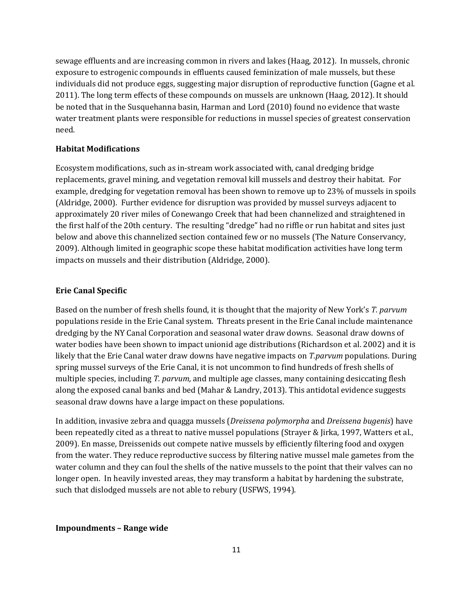sewage effluents and are increasing common in rivers and lakes (Haag, 2012). In mussels, chronic exposure to estrogenic compounds in effluents caused feminization of male mussels, but these individuals did not produce eggs, suggesting major disruption of reproductive function (Gagne et al. 2011). The long term effects of these compounds on mussels are unknown (Haag, 2012). It should be noted that in the Susquehanna basin, Harman and Lord (2010) found no evidence that waste water treatment plants were responsible for reductions in mussel species of greatest conservation need.

#### **Habitat Modifications**

Ecosystem modifications, such as in-stream work associated with, canal dredging bridge replacements, gravel mining, and vegetation removal kill mussels and destroy their habitat. For example, dredging for vegetation removal has been shown to remove up to 23% of mussels in spoils (Aldridge, 2000). Further evidence for disruption was provided by mussel surveys adjacent to approximately 20 river miles of Conewango Creek that had been channelized and straightened in the first half of the 20th century. The resulting "dredge" had no riffle or run habitat and sites just below and above this channelized section contained few or no mussels (The Nature Conservancy, 2009). Although limited in geographic scope these habitat modification activities have long term impacts on mussels and their distribution (Aldridge, 2000).

#### **Erie Canal Specific**

Based on the number of fresh shells found, it is thought that the majority of New York's *T. parvum* populations reside in the Erie Canal system. Threats present in the Erie Canal include maintenance dredging by the NY Canal Corporation and seasonal water draw downs. Seasonal draw downs of water bodies have been shown to impact unionid age distributions (Richardson et al. 2002) and it is likely that the Erie Canal water draw downs have negative impacts on *T.parvum* populations. During spring mussel surveys of the Erie Canal, it is not uncommon to find hundreds of fresh shells of multiple species, including *T. parvum,* and multiple age classes, many containing desiccating flesh along the exposed canal banks and bed (Mahar & Landry, 2013). This antidotal evidence suggests seasonal draw downs have a large impact on these populations.

In addition, invasive zebra and quagga mussels (*Dreissena polymorpha* and *Dreissena bugenis*) have been repeatedly cited as a threat to native mussel populations (Strayer & Jirka, 1997, Watters et al., 2009). En masse, Dreissenids out compete native mussels by efficiently filtering food and oxygen from the water. They reduce reproductive success by filtering native mussel male gametes from the water column and they can foul the shells of the native mussels to the point that their valves can no longer open. In heavily invested areas, they may transform a habitat by hardening the substrate, such that dislodged mussels are not able to rebury (USFWS, 1994).

### **Impoundments – Range wide**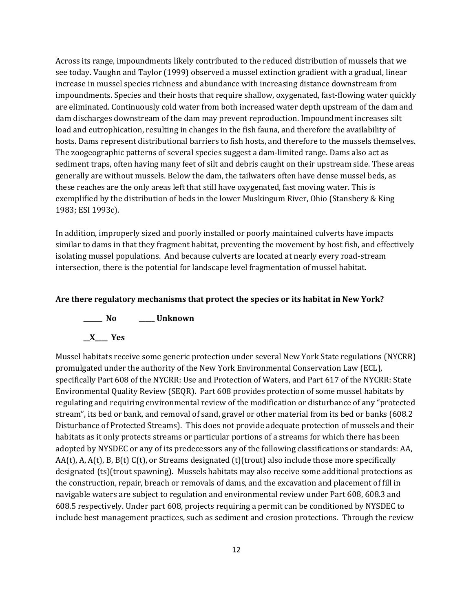Across its range, impoundments likely contributed to the reduced distribution of mussels that we see today. Vaughn and Taylor (1999) observed a mussel extinction gradient with a gradual, linear increase in mussel species richness and abundance with increasing distance downstream from impoundments. Species and their hosts that require shallow, oxygenated, fast-flowing water quickly are eliminated. Continuously cold water from both increased water depth upstream of the dam and dam discharges downstream of the dam may prevent reproduction. Impoundment increases silt load and eutrophication, resulting in changes in the fish fauna, and therefore the availability of hosts. Dams represent distributional barriers to fish hosts, and therefore to the mussels themselves. The zoogeographic patterns of several species suggest a dam-limited range. Dams also act as sediment traps, often having many feet of silt and debris caught on their upstream side. These areas generally are without mussels. Below the dam, the tailwaters often have dense mussel beds, as these reaches are the only areas left that still have oxygenated, fast moving water. This is exemplified by the distribution of beds in the lower Muskingum River, Ohio (Stansbery & King 1983; ESI 1993c).

In addition, improperly sized and poorly installed or poorly maintained culverts have impacts similar to dams in that they fragment habitat, preventing the movement by host fish, and effectively isolating mussel populations. And because culverts are located at nearly every road-stream intersection, there is the potential for landscape level fragmentation of mussel habitat.

#### **Are there regulatory mechanisms that protect the species or its habitat in New York?**



Mussel habitats receive some generic protection under several New York State regulations (NYCRR) promulgated under the authority of the New York Environmental Conservation Law (ECL), specifically Part 608 of the NYCRR: Use and Protection of Waters, and Part 617 of the NYCRR: State Environmental Quality Review (SEQR). Part 608 provides protection of some mussel habitats by regulating and requiring environmental review of the modification or disturbance of any "protected stream", its bed or bank, and removal of sand, gravel or other material from its bed or banks (608.2 Disturbance of Protected Streams). This does not provide adequate protection of mussels and their habitats as it only protects streams or particular portions of a streams for which there has been adopted by NYSDEC or any of its predecessors any of the following classifications or standards: AA, AA(t), A, A(t), B, B(t) C(t), or Streams designated (t)(trout) also include those more specifically designated (ts)(trout spawning). Mussels habitats may also receive some additional protections as the construction, repair, breach or removals of dams, and the excavation and placement of fill in navigable waters are subject to regulation and environmental review under Part 608, 608.3 and 608.5 respectively. Under part 608, projects requiring a permit can be conditioned by NYSDEC to include best management practices, such as sediment and erosion protections. Through the review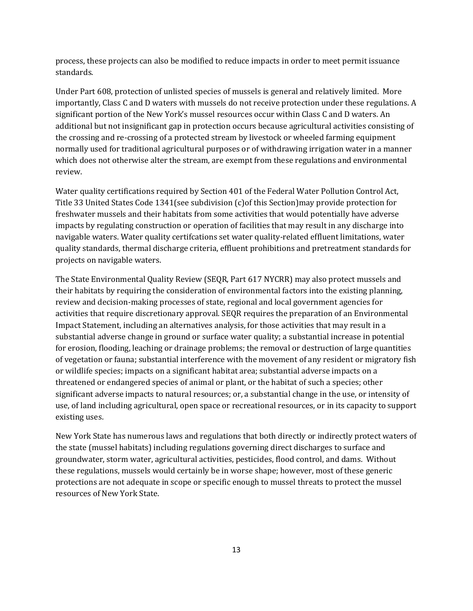process, these projects can also be modified to reduce impacts in order to meet permit issuance standards.

Under Part 608, protection of unlisted species of mussels is general and relatively limited. More importantly, Class C and D waters with mussels do not receive protection under these regulations. A significant portion of the New York's mussel resources occur within Class C and D waters. An additional but not insignificant gap in protection occurs because agricultural activities consisting of the crossing and re-crossing of a protected stream by livestock or wheeled farming equipment normally used for traditional agricultural purposes or of withdrawing irrigation water in a manner which does not otherwise alter the stream, are exempt from these regulations and environmental review.

Water quality certifications required by Section 401 of the Federal Water Pollution Control Act, Title 33 United States Code 1341(see subdivision (c)of this Section)may provide protection for freshwater mussels and their habitats from some activities that would potentially have adverse impacts by regulating construction or operation of facilities that may result in any discharge into navigable waters. Water quality certifcations set water quality-related effluent limitations, water quality standards, thermal discharge criteria, effluent prohibitions and pretreatment standards for projects on navigable waters.

The State Environmental Quality Review (SEQR, Part 617 NYCRR) may also protect mussels and their habitats by requiring the consideration of environmental factors into the existing planning, review and decision-making processes of state, regional and local government agencies for activities that require discretionary approval. SEQR requires the preparation of an Environmental Impact Statement, including an alternatives analysis, for those activities that may result in a substantial adverse change in ground or surface water quality; a substantial increase in potential for erosion, flooding, leaching or drainage problems; the removal or destruction of large quantities of vegetation or fauna; substantial interference with the movement of any resident or migratory fish or wildlife species; impacts on a significant habitat area; substantial adverse impacts on a threatened or endangered species of animal or plant, or the habitat of such a species; other significant adverse impacts to natural resources; or, a substantial change in the use, or intensity of use, of land including agricultural, open space or recreational resources, or in its capacity to support existing uses.

New York State has numerous laws and regulations that both directly or indirectly protect waters of the state (mussel habitats) including regulations governing direct discharges to surface and groundwater, storm water, agricultural activities, pesticides, flood control, and dams. Without these regulations, mussels would certainly be in worse shape; however, most of these generic protections are not adequate in scope or specific enough to mussel threats to protect the mussel resources of New York State.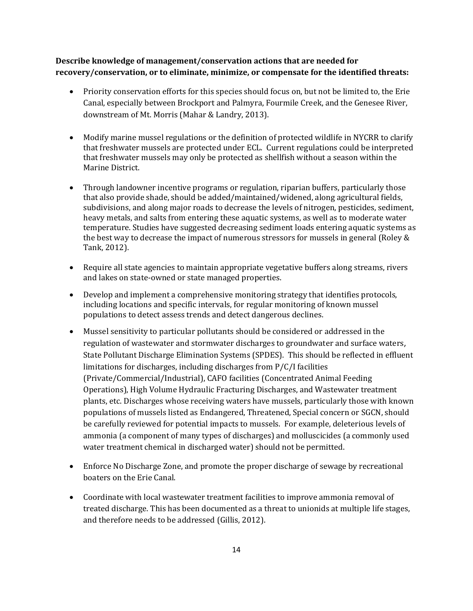## **Describe knowledge of management/conservation actions that are needed for recovery/conservation, or to eliminate, minimize, or compensate for the identified threats:**

- Priority conservation efforts for this species should focus on, but not be limited to, the Erie Canal, especially between Brockport and Palmyra, Fourmile Creek, and the Genesee River, downstream of Mt. Morris (Mahar & Landry, 2013).
- Modify marine mussel regulations or the definition of protected wildlife in NYCRR to clarify that freshwater mussels are protected under ECL. Current regulations could be interpreted that freshwater mussels may only be protected as shellfish without a season within the Marine District.
- Through landowner incentive programs or regulation, riparian buffers, particularly those that also provide shade, should be added/maintained/widened, along agricultural fields, subdivisions, and along major roads to decrease the levels of nitrogen, pesticides, sediment, heavy metals, and salts from entering these aquatic systems, as well as to moderate water temperature. Studies have suggested decreasing sediment loads entering aquatic systems as the best way to decrease the impact of numerous stressors for mussels in general (Roley & Tank, 2012).
- Require all state agencies to maintain appropriate vegetative buffers along streams, rivers and lakes on state-owned or state managed properties.
- Develop and implement a comprehensive monitoring strategy that identifies protocols, including locations and specific intervals, for regular monitoring of known mussel populations to detect assess trends and detect dangerous declines.
- Mussel sensitivity to particular pollutants should be considered or addressed in the regulation of wastewater and stormwater discharges to groundwater and surface waters, State Pollutant Discharge Elimination Systems (SPDES). This should be reflected in effluent limitations for discharges, including discharges from P/C/I facilities (Private/Commercial/Industrial), CAFO facilities (Concentrated Animal Feeding Operations), High Volume Hydraulic Fracturing Discharges, and Wastewater treatment plants, etc. Discharges whose receiving waters have mussels, particularly those with known populations of mussels listed as Endangered, Threatened, Special concern or SGCN, should be carefully reviewed for potential impacts to mussels. For example, deleterious levels of ammonia (a component of many types of discharges) and molluscicides (a commonly used water treatment chemical in discharged water) should not be permitted.
- Enforce No Discharge Zone, and promote the proper discharge of sewage by recreational boaters on the Erie Canal.
- Coordinate with local wastewater treatment facilities to improve ammonia removal of treated discharge. This has been documented as a threat to unionids at multiple life stages, and therefore needs to be addressed (Gillis, 2012).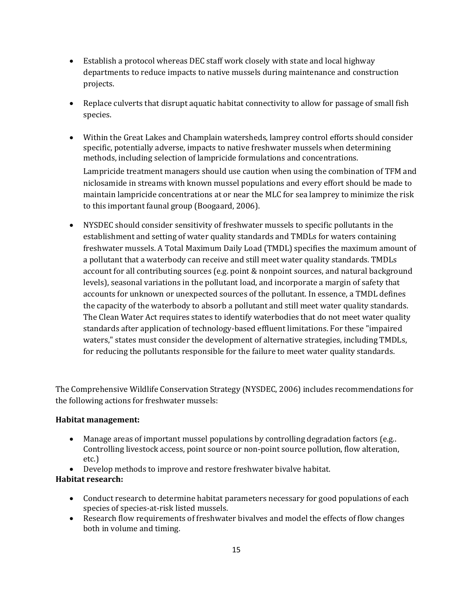- Establish a protocol whereas DEC staff work closely with state and local highway departments to reduce impacts to native mussels during maintenance and construction projects.
- Replace culverts that disrupt aquatic habitat connectivity to allow for passage of small fish species.
- Within the Great Lakes and Champlain watersheds, lamprey control efforts should consider specific, potentially adverse, impacts to native freshwater mussels when determining methods, including selection of lampricide formulations and concentrations.

Lampricide treatment managers should use caution when using the combination of TFM and niclosamide in streams with known mussel populations and every effort should be made to maintain lampricide concentrations at or near the MLC for sea lamprey to minimize the risk to this important faunal group (Boogaard, 2006).

• NYSDEC should consider sensitivity of freshwater mussels to specific pollutants in the establishment and setting of water quality standards and TMDLs for waters containing freshwater mussels. A Total Maximum Daily Load (TMDL) specifies the maximum amount of a pollutant that a waterbody can receive and still meet water quality standards. TMDLs account for all contributing sources (e.g. point & nonpoint sources, and natural background levels), seasonal variations in the pollutant load, and incorporate a margin of safety that accounts for unknown or unexpected sources of the pollutant. In essence, a TMDL defines the capacity of the waterbody to absorb a pollutant and still meet water quality standards. The Clean Water Act requires states to identify waterbodies that do not meet water quality standards after application of technology-based effluent limitations. For these "impaired waters," states must consider the development of alternative strategies, including TMDLs, for reducing the pollutants responsible for the failure to meet water quality standards.

The Comprehensive Wildlife Conservation Strategy (NYSDEC, 2006) includes recommendations for the following actions for freshwater mussels:

## **Habitat management:**

- Manage areas of important mussel populations by controlling degradation factors (e.g..) Controlling livestock access, point source or non-point source pollution, flow alteration, etc.)
- Develop methods to improve and restore freshwater bivalve habitat.

## **Habitat research:**

- Conduct research to determine habitat parameters necessary for good populations of each species of species-at-risk listed mussels.
- Research flow requirements of freshwater bivalves and model the effects of flow changes both in volume and timing.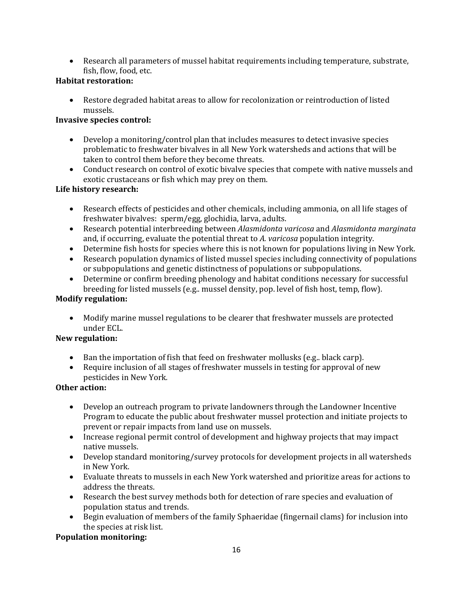• Research all parameters of mussel habitat requirements including temperature, substrate, fish, flow, food, etc.

# **Habitat restoration:**

• Restore degraded habitat areas to allow for recolonization or reintroduction of listed mussels.

## **Invasive species control:**

- Develop a monitoring/control plan that includes measures to detect invasive species problematic to freshwater bivalves in all New York watersheds and actions that will be taken to control them before they become threats.
- Conduct research on control of exotic bivalve species that compete with native mussels and exotic crustaceans or fish which may prey on them.

# **Life history research:**

- Research effects of pesticides and other chemicals, including ammonia, on all life stages of freshwater bivalves: sperm/egg, glochidia, larva, adults.
- Research potential interbreeding between *Alasmidonta varicosa* and *Alasmidonta marginata* and, if occurring, evaluate the potential threat to *A. varicosa* population integrity.
- Determine fish hosts for species where this is not known for populations living in New York.
- Research population dynamics of listed mussel species including connectivity of populations or subpopulations and genetic distinctness of populations or subpopulations.
- Determine or confirm breeding phenology and habitat conditions necessary for successful breeding for listed mussels (e.g.. mussel density, pop. level of fish host, temp, flow).

## **Modify regulation:**

• Modify marine mussel regulations to be clearer that freshwater mussels are protected under ECL.

## **New regulation:**

- Ban the importation of fish that feed on freshwater mollusks (e.g.. black carp).
- Require inclusion of all stages of freshwater mussels in testing for approval of new pesticides in New York*.*

## **Other action:**

- Develop an outreach program to private landowners through the Landowner Incentive Program to educate the public about freshwater mussel protection and initiate projects to prevent or repair impacts from land use on mussels.
- Increase regional permit control of development and highway projects that may impact native mussels.
- Develop standard monitoring/survey protocols for development projects in all watersheds in New York.
- Evaluate threats to mussels in each New York watershed and prioritize areas for actions to address the threats.
- Research the best survey methods both for detection of rare species and evaluation of population status and trends.
- Begin evaluation of members of the family Sphaeridae (fingernail clams) for inclusion into the species at risk list.

# **Population monitoring:**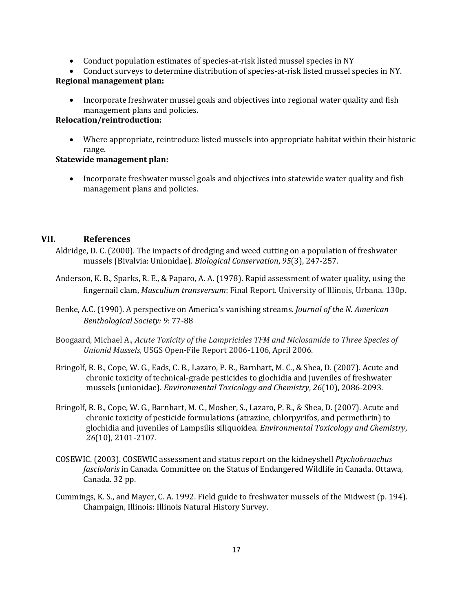- Conduct population estimates of species-at-risk listed mussel species in NY
- Conduct surveys to determine distribution of species-at-risk listed mussel species in NY.

## **Regional management plan:**

• Incorporate freshwater mussel goals and objectives into regional water quality and fish management plans and policies.

## **Relocation/reintroduction:**

• Where appropriate, reintroduce listed mussels into appropriate habitat within their historic range.

### **Statewide management plan:**

• Incorporate freshwater mussel goals and objectives into statewide water quality and fish management plans and policies.

## **VII. References**

- Aldridge, D. C. (2000). The impacts of dredging and weed cutting on a population of freshwater mussels (Bivalvia: Unionidae). *Biological Conservation*, *95*(3), 247-257.
- Anderson, K. B., Sparks, R. E., & Paparo, A. A. (1978). Rapid assessment of water quality, using the fingernail clam, *Musculium transversum*: Final Report. University of Illinois, Urbana. 130p.
- Benke, A.C. (1990). A perspective on America's vanishing streams. *Journal of the N. American Benthological Society: 9*: 77-88
- Boogaard, Michael A., *Acute Toxicity of the Lampricides TFM and Niclosamide to Three Species of Unionid Mussels,* USGS Open-File Report 2006-1106, April 2006.
- Bringolf, R. B., Cope, W. G., Eads, C. B., Lazaro, P. R., Barnhart, M. C., & Shea, D. (2007). Acute and chronic toxicity of technical‐grade pesticides to glochidia and juveniles of freshwater mussels (unionidae). *Environmental Toxicology and Chemistry*, *26*(10), 2086-2093.
- Bringolf, R. B., Cope, W. G., Barnhart, M. C., Mosher, S., Lazaro, P. R., & Shea, D. (2007). Acute and chronic toxicity of pesticide formulations (atrazine, chlorpyrifos, and permethrin) to glochidia and juveniles of Lampsilis siliquoidea. *Environmental Toxicology and Chemistry*, *26*(10), 2101-2107.
- COSEWIC. (2003). COSEWIC assessment and status report on the kidneyshell *Ptychobranchus fasciolaris* in Canada. Committee on the Status of Endangered Wildlife in Canada. Ottawa, Canada. 32 pp.
- Cummings, K. S., and Mayer, C. A. 1992. Field guide to freshwater mussels of the Midwest (p. 194). Champaign, Illinois: Illinois Natural History Survey.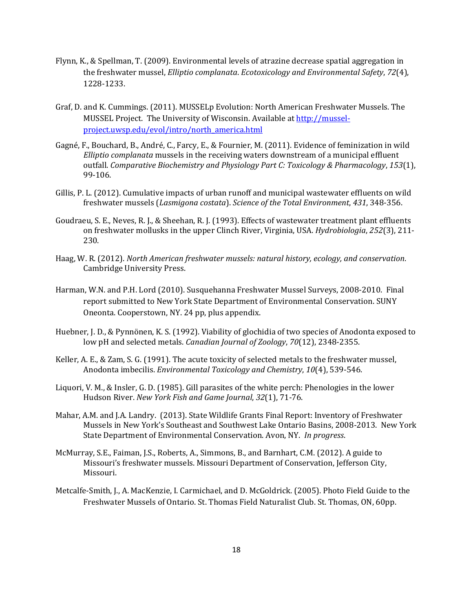- Flynn, K., & Spellman, T. (2009). Environmental levels of atrazine decrease spatial aggregation in the freshwater mussel, *Elliptio complanata*. *Ecotoxicology and Environmental Safety*, *72*(4), 1228-1233.
- Graf, D. and K. Cummings. (2011). MUSSELp Evolution: North American Freshwater Mussels. The MUSSEL Project. The University of Wisconsin. Available a[t http://mussel](http://mussel-project.uwsp.edu/evol/intro/north_america.html)[project.uwsp.edu/evol/intro/north\\_america.html](http://mussel-project.uwsp.edu/evol/intro/north_america.html)
- Gagné, F., Bouchard, B., André, C., Farcy, E., & Fournier, M. (2011). Evidence of feminization in wild *Elliptio complanata* mussels in the receiving waters downstream of a municipal effluent outfall. *Comparative Biochemistry and Physiology Part C: Toxicology & Pharmacology*, *153*(1), 99-106.
- Gillis, P. L. (2012). Cumulative impacts of urban runoff and municipal wastewater effluents on wild freshwater mussels (*Lasmigona costata*). *Science of the Total Environment*, *431*, 348-356.
- Goudraeu, S. E., Neves, R. J., & Sheehan, R. J. (1993). Effects of wastewater treatment plant effluents on freshwater mollusks in the upper Clinch River, Virginia, USA. *Hydrobiologia*, *252*(3), 211- 230.
- Haag, W. R. (2012). *North American freshwater mussels: natural history, ecology, and conservation*. Cambridge University Press.
- Harman, W.N. and P.H. Lord (2010). Susquehanna Freshwater Mussel Surveys, 2008-2010. Final report submitted to New York State Department of Environmental Conservation. SUNY Oneonta. Cooperstown, NY. 24 pp, plus appendix.
- Huebner, J. D., & Pynnönen, K. S. (1992). Viability of glochidia of two species of Anodonta exposed to low pH and selected metals. *Canadian Journal of Zoology*, *70*(12), 2348-2355.
- Keller, A. E., & Zam, S. G. (1991). The acute toxicity of selected metals to the freshwater mussel, Anodonta imbecilis. *Environmental Toxicology and Chemistry*, *10*(4), 539-546.
- Liquori, V. M., & Insler, G. D. (1985). Gill parasites of the white perch: Phenologies in the lower Hudson River. *New York Fish and Game Journal*, *32*(1), 71-76.
- Mahar, A.M. and J.A. Landry. (2013). State Wildlife Grants Final Report: Inventory of Freshwater Mussels in New York's Southeast and Southwest Lake Ontario Basins, 2008-2013. New York State Department of Environmental Conservation. Avon, NY. *In progress*.
- McMurray, S.E., Faiman, J.S., Roberts, A., Simmons, B., and Barnhart, C.M. (2012). A guide to Missouri's freshwater mussels. Missouri Department of Conservation, Jefferson City, Missouri.
- Metcalfe-Smith, J., A. MacKenzie, I. Carmichael, and D. McGoldrick. (2005). Photo Field Guide to the Freshwater Mussels of Ontario. St. Thomas Field Naturalist Club. St. Thomas, ON, 60pp.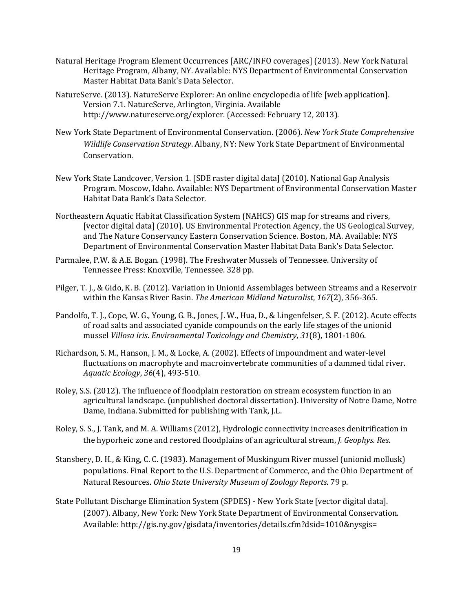- Natural Heritage Program Element Occurrences [ARC/INFO coverages] (2013). New York Natural Heritage Program, Albany, NY. Available: NYS Department of Environmental Conservation Master Habitat Data Bank's Data Selector.
- NatureServe. (2013). NatureServe Explorer: An online encyclopedia of life [web application]. Version 7.1. NatureServe, Arlington, Virginia. Available http://www.natureserve.org/explorer. (Accessed: February 12, 2013).
- New York State Department of Environmental Conservation. (2006). *New York State Comprehensive Wildlife Conservation Strategy*. Albany, NY: New York State Department of Environmental Conservation.
- New York State Landcover, Version 1. [SDE raster digital data] (2010). National Gap Analysis Program. Moscow, Idaho. Available: NYS Department of Environmental Conservation Master Habitat Data Bank's Data Selector.
- Northeastern Aquatic Habitat Classification System (NAHCS) GIS map for streams and rivers, [vector digital data] (2010). US Environmental Protection Agency, the US Geological Survey, and The Nature Conservancy Eastern Conservation Science. Boston, MA. Available: NYS Department of Environmental Conservation Master Habitat Data Bank's Data Selector.
- Parmalee, P.W. & A.E. Bogan. (1998). The Freshwater Mussels of Tennessee. University of Tennessee Press: Knoxville, Tennessee. 328 pp.
- Pilger, T. J., & Gido, K. B. (2012). Variation in Unionid Assemblages between Streams and a Reservoir within the Kansas River Basin. *The American Midland Naturalist*, *167*(2), 356-365.
- Pandolfo, T. J., Cope, W. G., Young, G. B., Jones, J. W., Hua, D., & Lingenfelser, S. F. (2012). Acute effects of road salts and associated cyanide compounds on the early life stages of the unionid mussel *Villosa iris*. *Environmental Toxicology and Chemistry*, *31*(8), 1801-1806.
- Richardson, S. M., Hanson, J. M., & Locke, A. (2002). Effects of impoundment and water-level fluctuations on macrophyte and macroinvertebrate communities of a dammed tidal river. *Aquatic Ecology*, *36*(4), 493-510.
- Roley, S.S. (2012). The influence of floodplain restoration on stream ecosystem function in an agricultural landscape. (unpublished doctoral dissertation). University of Notre Dame, Notre Dame, Indiana. Submitted for publishing with Tank, J.L.
- Roley, S. S., J. Tank, and M. A. Williams (2012), Hydrologic connectivity increases denitrification in the hyporheic zone and restored floodplains of an agricultural stream, *J. Geophys. Res.*
- Stansbery, D. H., & King, C. C. (1983). Management of Muskingum River mussel (unionid mollusk) populations. Final Report to the U.S. Department of Commerce, and the Ohio Department of Natural Resources. *Ohio State University Museum of Zoology Reports*. 79 p.
- State Pollutant Discharge Elimination System (SPDES) New York State [vector digital data]. (2007). Albany, New York: New York State Department of Environmental Conservation. Available: http://gis.ny.gov/gisdata/inventories/details.cfm?dsid=1010&nysgis=